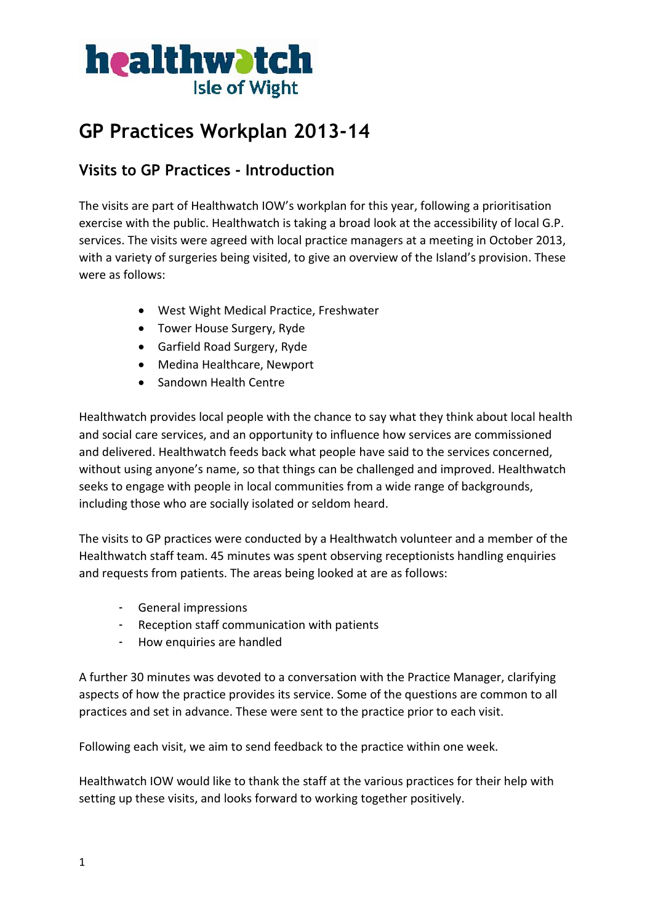

# **GP Practices Workplan 2013-14**

# **Visits to GP Practices - Introduction**

The visits are part of Healthwatch IOW's workplan for this year, following a prioritisation exercise with the public. Healthwatch is taking a broad look at the accessibility of local G.P. services. The visits were agreed with local practice managers at a meeting in October 2013, with a variety of surgeries being visited, to give an overview of the Island's provision. These were as follows:

- West Wight Medical Practice, Freshwater
- Tower House Surgery, Ryde
- Garfield Road Surgery, Ryde
- Medina Healthcare, Newport
- Sandown Health Centre

Healthwatch provides local people with the chance to say what they think about local health and social care services, and an opportunity to influence how services are commissioned and delivered. Healthwatch feeds back what people have said to the services concerned, without using anyone's name, so that things can be challenged and improved. Healthwatch seeks to engage with people in local communities from a wide range of backgrounds, including those who are socially isolated or seldom heard.

The visits to GP practices were conducted by a Healthwatch volunteer and a member of the Healthwatch staff team. 45 minutes was spent observing receptionists handling enquiries and requests from patients. The areas being looked at are as follows:

- General impressions
- Reception staff communication with patients
- How enquiries are handled

A further 30 minutes was devoted to a conversation with the Practice Manager, clarifying aspects of how the practice provides its service. Some of the questions are common to all practices and set in advance. These were sent to the practice prior to each visit.

Following each visit, we aim to send feedback to the practice within one week.

Healthwatch IOW would like to thank the staff at the various practices for their help with setting up these visits, and looks forward to working together positively.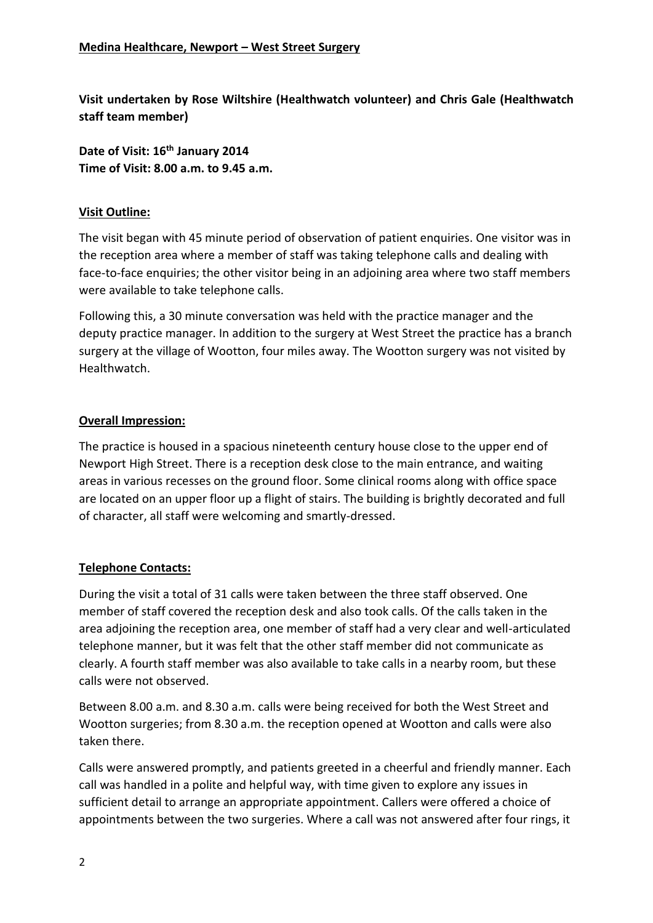**Visit undertaken by Rose Wiltshire (Healthwatch volunteer) and Chris Gale (Healthwatch staff team member)**

**Date of Visit: 16th January 2014 Time of Visit: 8.00 a.m. to 9.45 a.m.**

#### **Visit Outline:**

The visit began with 45 minute period of observation of patient enquiries. One visitor was in the reception area where a member of staff was taking telephone calls and dealing with face-to-face enquiries; the other visitor being in an adjoining area where two staff members were available to take telephone calls.

Following this, a 30 minute conversation was held with the practice manager and the deputy practice manager. In addition to the surgery at West Street the practice has a branch surgery at the village of Wootton, four miles away. The Wootton surgery was not visited by Healthwatch.

### **Overall Impression:**

The practice is housed in a spacious nineteenth century house close to the upper end of Newport High Street. There is a reception desk close to the main entrance, and waiting areas in various recesses on the ground floor. Some clinical rooms along with office space are located on an upper floor up a flight of stairs. The building is brightly decorated and full of character, all staff were welcoming and smartly-dressed.

# **Telephone Contacts:**

During the visit a total of 31 calls were taken between the three staff observed. One member of staff covered the reception desk and also took calls. Of the calls taken in the area adjoining the reception area, one member of staff had a very clear and well-articulated telephone manner, but it was felt that the other staff member did not communicate as clearly. A fourth staff member was also available to take calls in a nearby room, but these calls were not observed.

Between 8.00 a.m. and 8.30 a.m. calls were being received for both the West Street and Wootton surgeries; from 8.30 a.m. the reception opened at Wootton and calls were also taken there.

Calls were answered promptly, and patients greeted in a cheerful and friendly manner. Each call was handled in a polite and helpful way, with time given to explore any issues in sufficient detail to arrange an appropriate appointment. Callers were offered a choice of appointments between the two surgeries. Where a call was not answered after four rings, it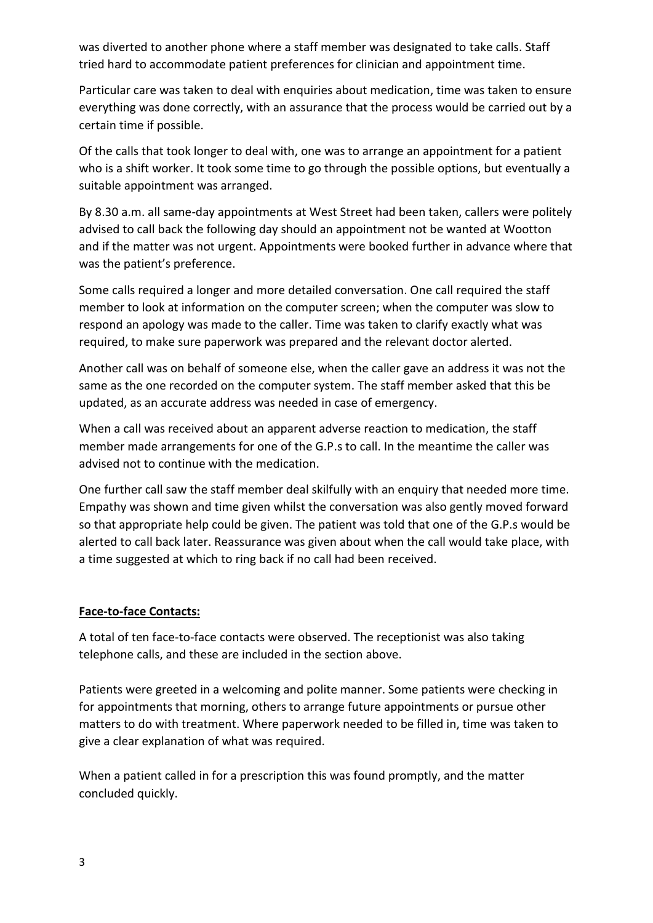was diverted to another phone where a staff member was designated to take calls. Staff tried hard to accommodate patient preferences for clinician and appointment time.

Particular care was taken to deal with enquiries about medication, time was taken to ensure everything was done correctly, with an assurance that the process would be carried out by a certain time if possible.

Of the calls that took longer to deal with, one was to arrange an appointment for a patient who is a shift worker. It took some time to go through the possible options, but eventually a suitable appointment was arranged.

By 8.30 a.m. all same-day appointments at West Street had been taken, callers were politely advised to call back the following day should an appointment not be wanted at Wootton and if the matter was not urgent. Appointments were booked further in advance where that was the patient's preference.

Some calls required a longer and more detailed conversation. One call required the staff member to look at information on the computer screen; when the computer was slow to respond an apology was made to the caller. Time was taken to clarify exactly what was required, to make sure paperwork was prepared and the relevant doctor alerted.

Another call was on behalf of someone else, when the caller gave an address it was not the same as the one recorded on the computer system. The staff member asked that this be updated, as an accurate address was needed in case of emergency.

When a call was received about an apparent adverse reaction to medication, the staff member made arrangements for one of the G.P.s to call. In the meantime the caller was advised not to continue with the medication.

One further call saw the staff member deal skilfully with an enquiry that needed more time. Empathy was shown and time given whilst the conversation was also gently moved forward so that appropriate help could be given. The patient was told that one of the G.P.s would be alerted to call back later. Reassurance was given about when the call would take place, with a time suggested at which to ring back if no call had been received.

#### **Face-to-face Contacts:**

A total of ten face-to-face contacts were observed. The receptionist was also taking telephone calls, and these are included in the section above.

Patients were greeted in a welcoming and polite manner. Some patients were checking in for appointments that morning, others to arrange future appointments or pursue other matters to do with treatment. Where paperwork needed to be filled in, time was taken to give a clear explanation of what was required.

When a patient called in for a prescription this was found promptly, and the matter concluded quickly.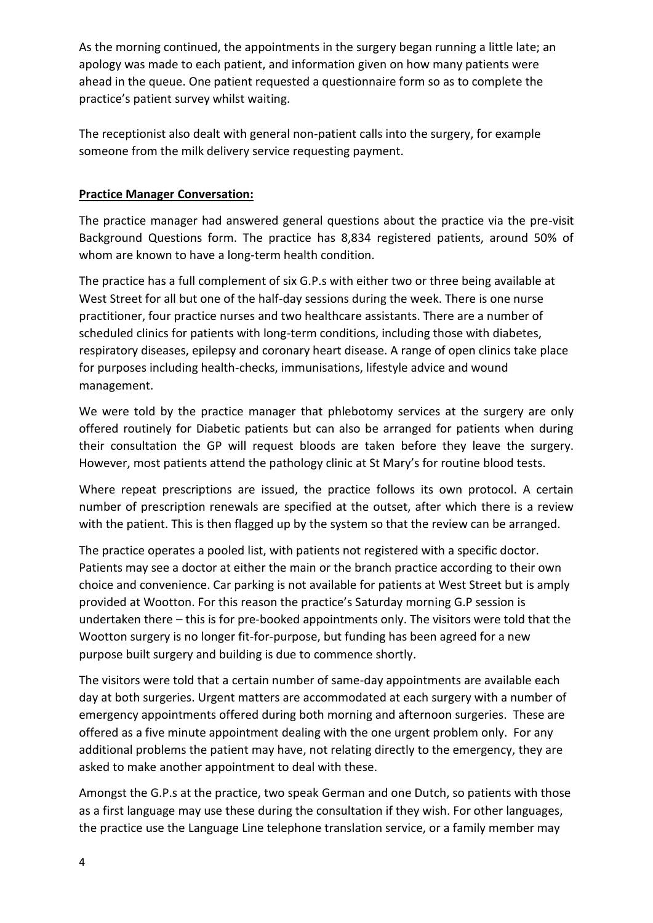As the morning continued, the appointments in the surgery began running a little late; an apology was made to each patient, and information given on how many patients were ahead in the queue. One patient requested a questionnaire form so as to complete the practice's patient survey whilst waiting.

The receptionist also dealt with general non-patient calls into the surgery, for example someone from the milk delivery service requesting payment.

## **Practice Manager Conversation:**

The practice manager had answered general questions about the practice via the pre-visit Background Questions form. The practice has 8,834 registered patients, around 50% of whom are known to have a long-term health condition.

The practice has a full complement of six G.P.s with either two or three being available at West Street for all but one of the half-day sessions during the week. There is one nurse practitioner, four practice nurses and two healthcare assistants. There are a number of scheduled clinics for patients with long-term conditions, including those with diabetes, respiratory diseases, epilepsy and coronary heart disease. A range of open clinics take place for purposes including health-checks, immunisations, lifestyle advice and wound management.

We were told by the practice manager that phlebotomy services at the surgery are only offered routinely for Diabetic patients but can also be arranged for patients when during their consultation the GP will request bloods are taken before they leave the surgery. However, most patients attend the pathology clinic at St Mary's for routine blood tests.

Where repeat prescriptions are issued, the practice follows its own protocol. A certain number of prescription renewals are specified at the outset, after which there is a review with the patient. This is then flagged up by the system so that the review can be arranged.

The practice operates a pooled list, with patients not registered with a specific doctor. Patients may see a doctor at either the main or the branch practice according to their own choice and convenience. Car parking is not available for patients at West Street but is amply provided at Wootton. For this reason the practice's Saturday morning G.P session is undertaken there – this is for pre-booked appointments only. The visitors were told that the Wootton surgery is no longer fit-for-purpose, but funding has been agreed for a new purpose built surgery and building is due to commence shortly.

The visitors were told that a certain number of same-day appointments are available each day at both surgeries. Urgent matters are accommodated at each surgery with a number of emergency appointments offered during both morning and afternoon surgeries. These are offered as a five minute appointment dealing with the one urgent problem only. For any additional problems the patient may have, not relating directly to the emergency, they are asked to make another appointment to deal with these.

Amongst the G.P.s at the practice, two speak German and one Dutch, so patients with those as a first language may use these during the consultation if they wish. For other languages, the practice use the Language Line telephone translation service, or a family member may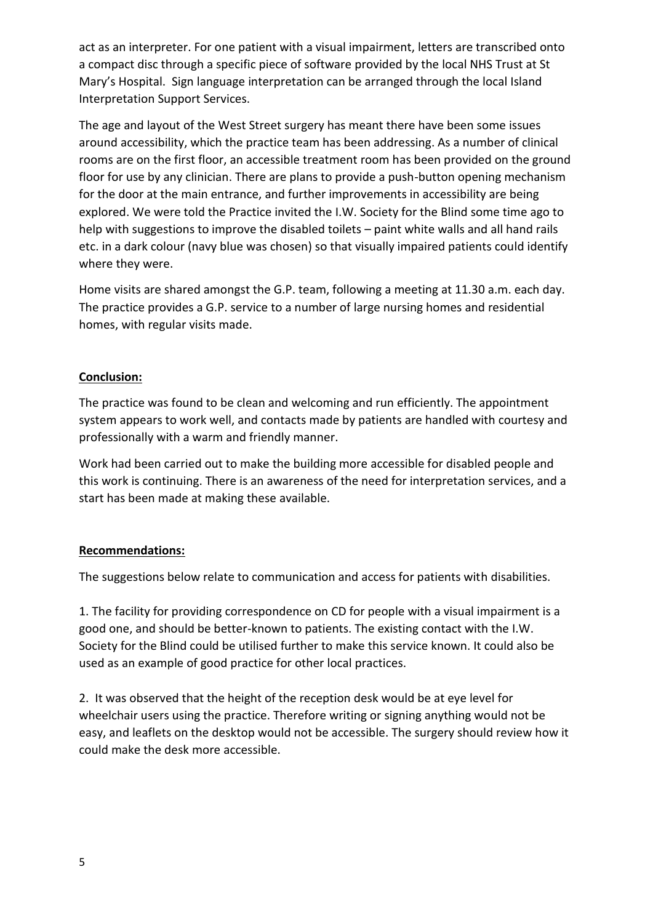act as an interpreter. For one patient with a visual impairment, letters are transcribed onto a compact disc through a specific piece of software provided by the local NHS Trust at St Mary's Hospital. Sign language interpretation can be arranged through the local Island Interpretation Support Services.

The age and layout of the West Street surgery has meant there have been some issues around accessibility, which the practice team has been addressing. As a number of clinical rooms are on the first floor, an accessible treatment room has been provided on the ground floor for use by any clinician. There are plans to provide a push-button opening mechanism for the door at the main entrance, and further improvements in accessibility are being explored. We were told the Practice invited the I.W. Society for the Blind some time ago to help with suggestions to improve the disabled toilets – paint white walls and all hand rails etc. in a dark colour (navy blue was chosen) so that visually impaired patients could identify where they were.

Home visits are shared amongst the G.P. team, following a meeting at 11.30 a.m. each day. The practice provides a G.P. service to a number of large nursing homes and residential homes, with regular visits made.

#### **Conclusion:**

The practice was found to be clean and welcoming and run efficiently. The appointment system appears to work well, and contacts made by patients are handled with courtesy and professionally with a warm and friendly manner.

Work had been carried out to make the building more accessible for disabled people and this work is continuing. There is an awareness of the need for interpretation services, and a start has been made at making these available.

#### **Recommendations:**

The suggestions below relate to communication and access for patients with disabilities.

1. The facility for providing correspondence on CD for people with a visual impairment is a good one, and should be better-known to patients. The existing contact with the I.W. Society for the Blind could be utilised further to make this service known. It could also be used as an example of good practice for other local practices.

2. It was observed that the height of the reception desk would be at eye level for wheelchair users using the practice. Therefore writing or signing anything would not be easy, and leaflets on the desktop would not be accessible. The surgery should review how it could make the desk more accessible.